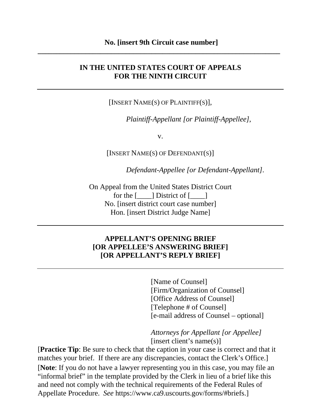### **IN THE UNITED STATES COURT OF APPEALS FOR THE NINTH CIRCUIT**

[INSERT NAME(S) OF PLAINTIFF(S)],

*Plaintiff-Appellant [or Plaintiff-Appellee]*,

v.

[INSERT NAME(S) OF DEFENDANT(S)]

*Defendant-Appellee [or Defendant-Appellant]*.

On Appeal from the United States District Court for the  $\lceil \qquad \rceil$  District of  $\lceil \qquad \rceil$ No. [insert district court case number] Hon. [insert District Judge Name]

### **APPELLANT'S OPENING BRIEF [OR APPELLEE'S ANSWERING BRIEF] [OR APPELLANT'S REPLY BRIEF]**

[Name of Counsel] [Firm/Organization of Counsel] [Office Address of Counsel] [Telephone # of Counsel] [e-mail address of Counsel – optional]

*Attorneys for Appellant [or Appellee]* [insert client's name(s)]

[**Note**: If you do not have a lawyer representing you in this case, you may file an "informal brief" in the template provided by the Clerk in lieu of a brief like this and need not comply with the technical requirements of the Federal Rules of Appellate Procedure. *See* https://www.ca9.uscourts.gov/forms/#briefs.] [**Practice Tip**: Be sure to check that the caption in your case is correct and that it matches your brief. If there are any discrepancies, contact the Clerk's Office.]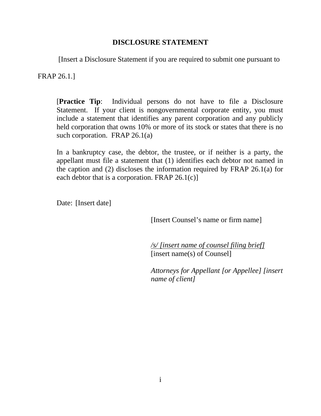### **DISCLOSURE STATEMENT**

[Insert a Disclosure Statement if you are required to submit one pursuant to

FRAP 26.1.]

[**Practice Tip**: Individual persons do not have to file a Disclosure Statement. If your client is nongovernmental corporate entity, you must include a statement that identifies any parent corporation and any publicly held corporation that owns 10% or more of its stock or states that there is no such corporation. FRAP 26.1(a)

In a bankruptcy case, the debtor, the trustee, or if neither is a party, the appellant must file a statement that (1) identifies each debtor not named in the caption and (2) discloses the information required by FRAP 26.1(a) for each debtor that is a corporation. FRAP  $26.1(c)$ ]

Date: [Insert date]

[Insert Counsel's name or firm name]

*/s/ [insert name of counsel filing brief]* [insert name(s) of Counsel]

*Attorneys for Appellant [or Appellee] [insert name of client]*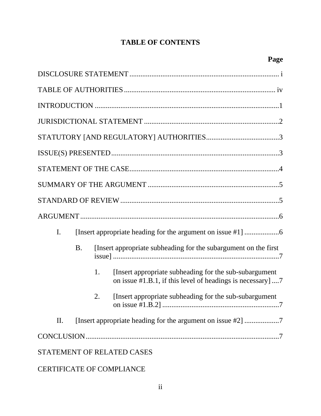# **TABLE OF CONTENTS**

| I.                                |                                                                              |    |                                                                                                                       |  |  |
|-----------------------------------|------------------------------------------------------------------------------|----|-----------------------------------------------------------------------------------------------------------------------|--|--|
|                                   | [Insert appropriate subheading for the subargument on the first<br><b>B.</b> |    |                                                                                                                       |  |  |
|                                   |                                                                              | 1. | [Insert appropriate subheading for the sub-subargument]<br>on issue #1.B.1, if this level of headings is necessary] 7 |  |  |
|                                   |                                                                              | 2. | [Insert appropriate subheading for the sub-subargument]                                                               |  |  |
| П.                                |                                                                              |    |                                                                                                                       |  |  |
|                                   |                                                                              |    |                                                                                                                       |  |  |
| <b>STATEMENT OF RELATED CASES</b> |                                                                              |    |                                                                                                                       |  |  |

# CERTIFICATE OF COMPLIANCE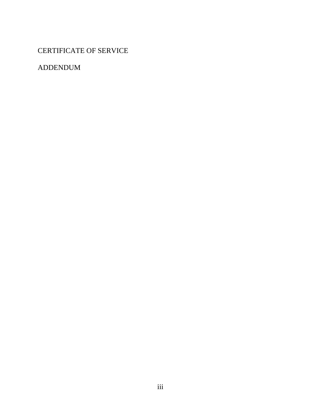CERTIFICATE OF SERVICE

ADDENDUM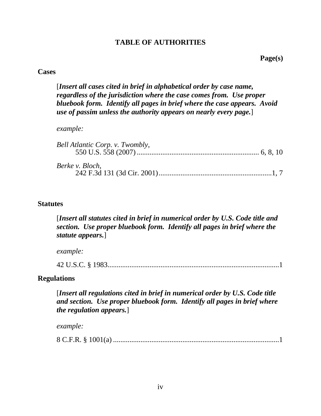### **TABLE OF AUTHORITIES**

**Page(s)**

#### **Cases**

[*Insert all cases cited in brief in alphabetical order by case name, regardless of the jurisdiction where the case comes from. Use proper bluebook form. Identify all pages in brief where the case appears. Avoid use of passim unless the authority appears on nearly every page.*]

*example:*

| Bell Atlantic Corp. v. Twombly, |  |
|---------------------------------|--|
| Berke v. Bloch,                 |  |

#### **Statutes**

[*Insert all statutes cited in brief in numerical order by U.S. Code title and section. Use proper bluebook form. Identify all pages in brief where the statute appears.*]

*example:*

42 U.S.C. § 1983..............................................................................................1

### **Regulations**

[*Insert all regulations cited in brief in numerical order by U.S. Code title and section. Use proper bluebook form. Identify all pages in brief where the regulation appears.*]

*example:*

8 C.F.R. § 1001(a) ...........................................................................................1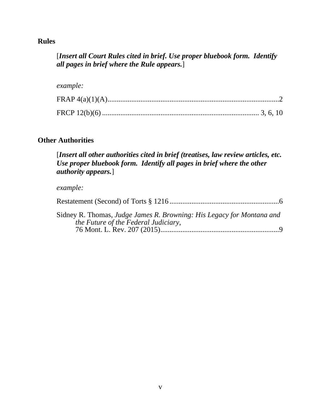### **Rules**

## [*Insert all Court Rules cited in brief. Use proper bluebook form. Identify all pages in brief where the Rule appears.*]

#### *example:*

# **Other Authorities**

[*Insert all other authorities cited in brief (treatises, law review articles, etc. Use proper bluebook form. Identify all pages in brief where the other authority appears.*]

#### *example:*

| Sidney R. Thomas, Judge James R. Browning: His Legacy for Montana and<br>the Future of the Federal Judiciary, |
|---------------------------------------------------------------------------------------------------------------|

76 Mont. L. Rev. 207 (2015).................................................................9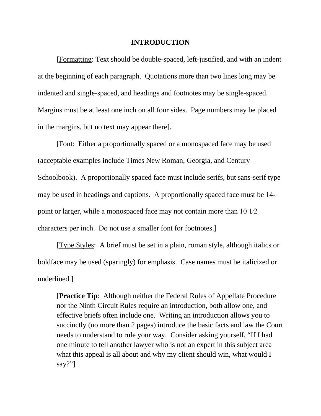#### **INTRODUCTION**

[Formatting: Text should be double-spaced, left-justified, and with an indent at the beginning of each paragraph. Quotations more than two lines long may be indented and single-spaced, and headings and footnotes may be single-spaced. Margins must be at least one inch on all four sides. Page numbers may be placed in the margins, but no text may appear there].

[Font: Either a proportionally spaced or a monospaced face may be used (acceptable examples include Times New Roman, Georgia, and Century Schoolbook). A proportionally spaced face must include serifs, but sans-serif type may be used in headings and captions. A proportionally spaced face must be 14 point or larger, while a monospaced face may not contain more than 10 1⁄2 characters per inch. Do not use a smaller font for footnotes.]

[Type Styles: A brief must be set in a plain, roman style, although italics or boldface may be used (sparingly) for emphasis. Case names must be italicized or underlined.]

[**Practice Tip**:Although neither the Federal Rules of Appellate Procedure nor the Ninth Circuit Rules require an introduction, both allow one, and effective briefs often include one. Writing an introduction allows you to succinctly (no more than 2 pages) introduce the basic facts and law the Court needs to understand to rule your way. Consider asking yourself, "If I had one minute to tell another lawyer who is not an expert in this subject area what this appeal is all about and why my client should win, what would I say?"]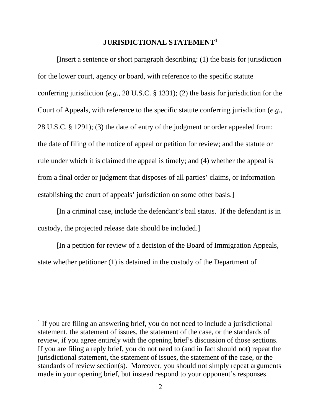#### **JURISDICTIONAL STATEMENT[1](#page-7-0)**

[Insert a sentence or short paragraph describing: (1) the basis for jurisdiction for the lower court, agency or board, with reference to the specific statute conferring jurisdiction (*e.g*., 28 U.S.C. § 1331); (2) the basis for jurisdiction for the Court of Appeals, with reference to the specific statute conferring jurisdiction (*e.g*., 28 U.S.C. § 1291); (3) the date of entry of the judgment or order appealed from; the date of filing of the notice of appeal or petition for review; and the statute or rule under which it is claimed the appeal is timely; and (4) whether the appeal is from a final order or judgment that disposes of all parties' claims, or information establishing the court of appeals' jurisdiction on some other basis.]

[In a criminal case, include the defendant's bail status. If the defendant is in custody, the projected release date should be included.]

[In a petition for review of a decision of the Board of Immigration Appeals, state whether petitioner (1) is detained in the custody of the Department of

<span id="page-7-0"></span><sup>&</sup>lt;sup>1</sup> If you are filing an answering brief, you do not need to include a jurisdictional statement, the statement of issues, the statement of the case, or the standards of review, if you agree entirely with the opening brief's discussion of those sections. If you are filing a reply brief, you do not need to (and in fact should not) repeat the jurisdictional statement, the statement of issues, the statement of the case, or the standards of review section(s). Moreover, you should not simply repeat arguments made in your opening brief, but instead respond to your opponent's responses.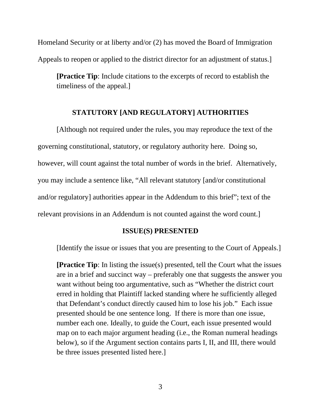Homeland Security or at liberty and/or (2) has moved the Board of Immigration Appeals to reopen or applied to the district director for an adjustment of status.]

**[Practice Tip**: Include citations to the excerpts of record to establish the timeliness of the appeal.]

#### **STATUTORY [AND REGULATORY] AUTHORITIES**

[Although not required under the rules, you may reproduce the text of the governing constitutional, statutory, or regulatory authority here. Doing so, however, will count against the total number of words in the brief. Alternatively, you may include a sentence like, "All relevant statutory [and/or constitutional and/or regulatory] authorities appear in the Addendum to this brief"; text of the relevant provisions in an Addendum is not counted against the word count.]

#### **ISSUE(S) PRESENTED**

[Identify the issue or issues that you are presenting to the Court of Appeals.]

**[Practice Tip**: In listing the issue(s) presented, tell the Court what the issues are in a brief and succinct way – preferably one that suggests the answer you want without being too argumentative, such as "Whether the district court erred in holding that Plaintiff lacked standing where he sufficiently alleged that Defendant's conduct directly caused him to lose his job." Each issue presented should be one sentence long. If there is more than one issue, number each one. Ideally, to guide the Court, each issue presented would map on to each major argument heading (i.e., the Roman numeral headings below), so if the Argument section contains parts I, II, and III, there would be three issues presented listed here.]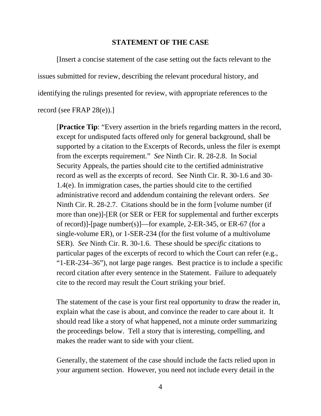#### **STATEMENT OF THE CASE**

[Insert a concise statement of the case setting out the facts relevant to the issues submitted for review, describing the relevant procedural history, and identifying the rulings presented for review, with appropriate references to the record (see FRAP 28(e)).]

[**Practice Tip**: "Every assertion in the briefs regarding matters in the record, except for undisputed facts offered only for general background, shall be supported by a citation to the Excerpts of Records, unless the filer is exempt from the excerpts requirement." *See* Ninth Cir. R. 28-2.8. In Social Security Appeals, the parties should cite to the certified administrative record as well as the excerpts of record. See Ninth Cir. R. 30-1.6 and 30- 1.4(e). In immigration cases, the parties should cite to the certified administrative record and addendum containing the relevant orders. *See*  Ninth Cir. R. 28-2.7. Citations should be in the form [volume number (if more than one)]-[ER (or SER or FER for supplemental and further excerpts of record)]-[page number(s)]—for example, 2-ER-345, or ER-67 (for a single-volume ER), or 1-SER-234 (for the first volume of a multivolume SER). *See* Ninth Cir. R. 30-1.6. These should be *specific* citations to particular pages of the excerpts of record to which the Court can refer (e.g., "1-ER-234–36"), not large page ranges. Best practice is to include a specific record citation after every sentence in the Statement. Failure to adequately cite to the record may result the Court striking your brief.

The statement of the case is your first real opportunity to draw the reader in, explain what the case is about, and convince the reader to care about it. It should read like a story of what happened, not a minute order summarizing the proceedings below. Tell a story that is interesting, compelling, and makes the reader want to side with your client.

Generally, the statement of the case should include the facts relied upon in your argument section. However, you need not include every detail in the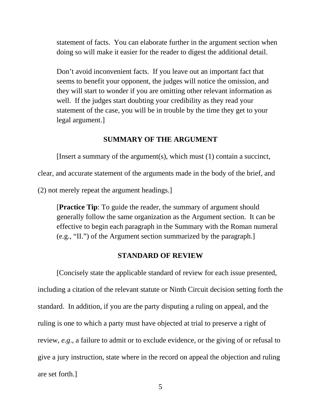statement of facts. You can elaborate further in the argument section when doing so will make it easier for the reader to digest the additional detail.

Don't avoid inconvenient facts. If you leave out an important fact that seems to benefit your opponent, the judges will notice the omission, and they will start to wonder if you are omitting other relevant information as well. If the judges start doubting your credibility as they read your statement of the case, you will be in trouble by the time they get to your legal argument.]

#### **SUMMARY OF THE ARGUMENT**

[Insert a summary of the argument(s), which must (1) contain a succinct,

clear, and accurate statement of the arguments made in the body of the brief, and

(2) not merely repeat the argument headings.]

[**Practice Tip**: To guide the reader, the summary of argument should generally follow the same organization as the Argument section. It can be effective to begin each paragraph in the Summary with the Roman numeral (e.g., "II.") of the Argument section summarized by the paragraph.]

#### **STANDARD OF REVIEW**

[Concisely state the applicable standard of review for each issue presented, including a citation of the relevant statute or Ninth Circuit decision setting forth the standard. In addition, if you are the party disputing a ruling on appeal, and the ruling is one to which a party must have objected at trial to preserve a right of review, *e.g*., a failure to admit or to exclude evidence, or the giving of or refusal to give a jury instruction, state where in the record on appeal the objection and ruling are set forth.]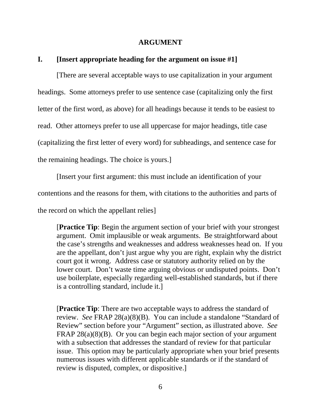#### **ARGUMENT**

### **I. [Insert appropriate heading for the argument on issue #1]**

[There are several acceptable ways to use capitalization in your argument headings. Some attorneys prefer to use sentence case (capitalizing only the first letter of the first word, as above) for all headings because it tends to be easiest to read. Other attorneys prefer to use all uppercase for major headings, title case (capitalizing the first letter of every word) for subheadings, and sentence case for the remaining headings. The choice is yours.]

[Insert your first argument: this must include an identification of your

contentions and the reasons for them, with citations to the authorities and parts of

the record on which the appellant relies]

[**Practice Tip**: Begin the argument section of your brief with your strongest argument. Omit implausible or weak arguments. Be straightforward about the case's strengths and weaknesses and address weaknesses head on. If you are the appellant, don't just argue why you are right, explain why the district court got it wrong. Address case or statutory authority relied on by the lower court. Don't waste time arguing obvious or undisputed points. Don't use boilerplate, especially regarding well-established standards, but if there is a controlling standard, include it.]

[**Practice Tip**: There are two acceptable ways to address the standard of review. *See* FRAP 28(a)(8)(B). You can include a standalone "Standard of Review" section before your "Argument" section, as illustrated above. *See*  FRAP 28(a)(8)(B). Or you can begin each major section of your argument with a subsection that addresses the standard of review for that particular issue. This option may be particularly appropriate when your brief presents numerous issues with different applicable standards or if the standard of review is disputed, complex, or dispositive.]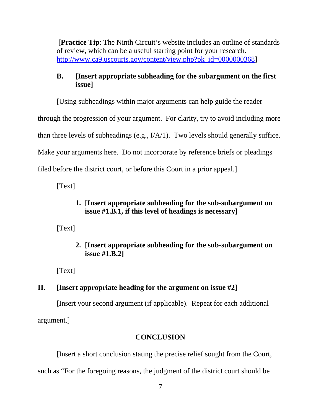[**Practice Tip**: The Ninth Circuit's website includes an outline of standards of review, which can be a useful starting point for your research. [http://www.ca9.uscourts.gov/content/view.php?pk\\_id=0000000368\]](http://www.ca9.uscourts.gov/content/view.php?pk_id=0000000368)

# **B. [Insert appropriate subheading for the subargument on the first issue]**

[Using subheadings within major arguments can help guide the reader

through the progression of your argument. For clarity, try to avoid including more

than three levels of subheadings (e.g., I/A/1). Two levels should generally suffice.

Make your arguments here. Do not incorporate by reference briefs or pleadings

filed before the district court, or before this Court in a prior appeal.]

[Text]

# **1. [Insert appropriate subheading for the sub-subargument on issue #1.B.1, if this level of headings is necessary]**

[Text]

# **2. [Insert appropriate subheading for the sub-subargument on issue #1.B.2]**

[Text]

# **II. [Insert appropriate heading for the argument on issue #2]**

[Insert your second argument (if applicable). Repeat for each additional argument.]

# **CONCLUSION**

[Insert a short conclusion stating the precise relief sought from the Court,

such as "For the foregoing reasons, the judgment of the district court should be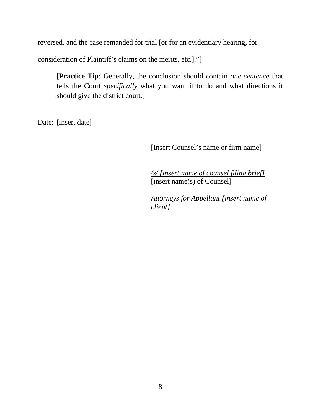reversed, and the case remanded for trial [or for an evidentiary hearing, for

consideration of Plaintiff's claims on the merits, etc.]."]

[**Practice Tip**: Generally, the conclusion should contain *one sentence* that tells the Court *specifically* what you want it to do and what directions it should give the district court.]

Date: [insert date]

[Insert Counsel's name or firm name]

*/s/ [insert name of counsel filing brief]* [insert name(s) of Counsel]

*Attorneys for Appellant [insert name of client]*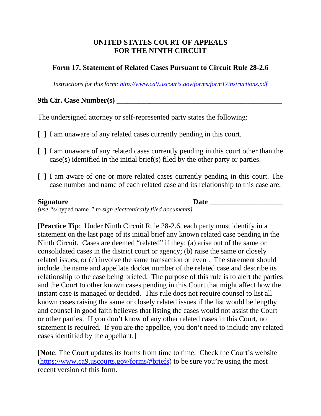### **UNITED STATES COURT OF APPEALS FOR THE NINTH CIRCUIT**

### **Form 17. Statement of Related Cases Pursuant to Circuit Rule 28-2.6**

*Instructions for this form:<http://www.ca9.uscourts.gov/forms/form17instructions.pdf>*

# **9th Cir. Case Number(s)** \_\_\_\_\_\_\_\_\_\_\_\_\_\_\_\_\_\_\_\_\_\_\_\_\_\_\_\_\_\_\_\_\_\_\_\_\_\_\_\_\_\_\_\_\_

The undersigned attorney or self-represented party states the following:

- [ ] I am unaware of any related cases currently pending in this court.
- [ ] I am unaware of any related cases currently pending in this court other than the case(s) identified in the initial brief(s) filed by the other party or parties.
- [ ] I am aware of one or more related cases currently pending in this court. The case number and name of each related case and its relationship to this case are:

| <b>Signature</b> |                                                               | Date |  |
|------------------|---------------------------------------------------------------|------|--|
|                  | (use "s/[typed name]" to sign electronically filed documents) |      |  |

[**Practice Tip**: Under Ninth Circuit Rule 28-2.6, each party must identify in a statement on the last page of its initial brief any known related case pending in the Ninth Circuit. Cases are deemed "related" if they: (a) arise out of the same or consolidated cases in the district court or agency; (b) raise the same or closely related issues; or (c) involve the same transaction or event. The statement should include the name and appellate docket number of the related case and describe its relationship to the case being briefed. The purpose of this rule is to alert the parties and the Court to other known cases pending in this Court that might affect how the instant case is managed or decided. This rule does not require counsel to list all known cases raising the same or closely related issues if the list would be lengthy and counsel in good faith believes that listing the cases would not assist the Court or other parties. If you don't know of any other related cases in this Court, no statement is required. If you are the appellee, you don't need to include any related cases identified by the appellant.]

[**Note**: The Court updates its forms from time to time. Check the Court's website [\(https://www.ca9.uscourts.gov/forms/#briefs\)](https://www.ca9.uscourts.gov/forms/#briefs) to be sure you're using the most recent version of this form.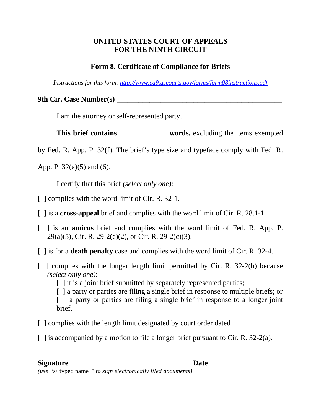## **UNITED STATES COURT OF APPEALS FOR THE NINTH CIRCUIT**

# **Form 8. Certificate of Compliance for Briefs**

*Instructions for this form:<http://www.ca9.uscourts.gov/forms/form08instructions.pdf>*

**9th Cir. Case Number(s)** \_\_\_\_\_\_\_\_\_\_\_\_\_\_\_\_\_\_\_\_\_\_\_\_\_\_\_\_\_\_\_\_\_\_\_\_\_\_\_\_\_\_\_\_\_

I am the attorney or self-represented party.

**This brief contains \_\_\_\_\_\_\_\_\_\_\_\_\_ words,** excluding the items exempted

by Fed. R. App. P. 32(f). The brief's type size and typeface comply with Fed. R.

App. P.  $32(a)(5)$  and (6).

I certify that this brief *(select only one)*:

- [ ] complies with the word limit of Cir. R. 32-1.
- [ ] is a **cross-appeal** brief and complies with the word limit of Cir. R. 28.1-1.
- [ ] is an **amicus** brief and complies with the word limit of Fed. R. App. P. 29(a)(5), Cir. R. 29-2(c)(2), or Cir. R. 29-2(c)(3).
- [ ] is for a **death penalty** case and complies with the word limit of Cir. R. 32-4.
- [ ] complies with the longer length limit permitted by Cir. R. 32-2(b) because *(select only one)*:

[ ] it is a joint brief submitted by separately represented parties;

[ ] a party or parties are filing a single brief in response to multiple briefs; or [ ] a party or parties are filing a single brief in response to a longer joint brief.

- [ ] complies with the length limit designated by court order dated \_\_\_\_\_\_\_\_\_\_\_\_.
- $\lceil$  1 is accompanied by a motion to file a longer brief pursuant to Cir. R. 32-2(a).

### **Signature** \_\_\_\_\_\_\_\_\_\_\_\_\_\_\_\_\_\_\_\_\_\_\_\_\_\_\_\_\_\_\_\_\_ **Date \_\_\_\_\_\_\_\_\_\_\_\_\_\_\_\_\_\_\_\_**

*(use "*s/[typed name]*" to sign electronically filed documents)*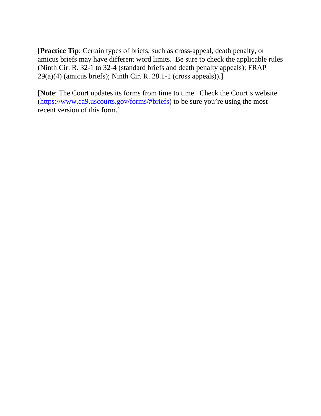[**Practice Tip**: Certain types of briefs, such as cross-appeal, death penalty, or amicus briefs may have different word limits. Be sure to check the applicable rules (Ninth Cir. R. 32-1 to 32-4 (standard briefs and death penalty appeals); FRAP 29(a)(4) (amicus briefs); Ninth Cir. R. 28.1-1 (cross appeals)).]

[**Note**: The Court updates its forms from time to time. Check the Court's website [\(https://www.ca9.uscourts.gov/forms/#briefs\)](https://www.ca9.uscourts.gov/forms/#briefs) to be sure you're using the most recent version of this form.]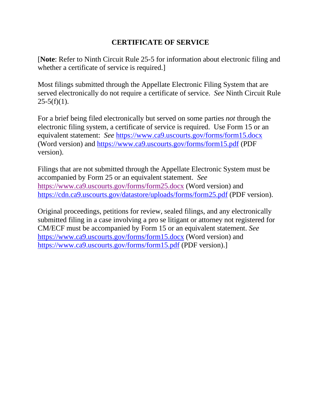# **CERTIFICATE OF SERVICE**

[**Note**: Refer to Ninth Circuit Rule 25-5 for information about electronic filing and whether a certificate of service is required.

Most filings submitted through the Appellate Electronic Filing System that are served electronically do not require a certificate of service. *See* Ninth Circuit Rule  $25-5(f)(1)$ .

For a brief being filed electronically but served on some parties *not* through the electronic filing system, a certificate of service is required. Use Form 15 or an equivalent statement: *See* <https://www.ca9.uscourts.gov/forms/form15.docx> (Word version) and<https://www.ca9.uscourts.gov/forms/form15.pdf> (PDF version).

Filings that are not submitted through the Appellate Electronic System must be accompanied by Form 25 or an equivalent statement. *See* <https://www.ca9.uscourts.gov/forms/form25.docx> (Word version) and <https://cdn.ca9.uscourts.gov/datastore/uploads/forms/form25.pdf> (PDF version).

Original proceedings, petitions for review, sealed filings, and any electronically submitted filing in a case involving a pro se litigant or attorney not registered for CM/ECF must be accompanied by Form 15 or an equivalent statement. *See*  <https://www.ca9.uscourts.gov/forms/form15.docx> (Word version) and <https://www.ca9.uscourts.gov/forms/form15.pdf> (PDF version).]